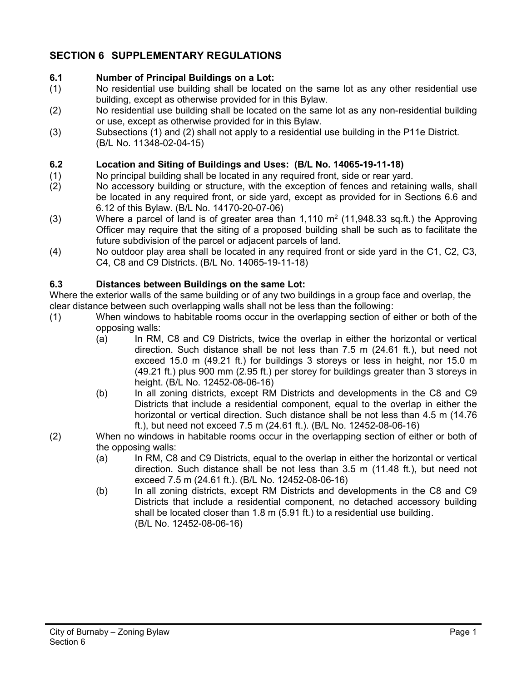# **SECTION 6 SUPPLEMENTARY REGULATIONS**

# **6.1 Number of Principal Buildings on a Lot:**

- (1) No residential use building shall be located on the same lot as any other residential use building, except as otherwise provided for in this Bylaw.
- (2) No residential use building shall be located on the same lot as any non-residential building or use, except as otherwise provided for in this Bylaw.
- (3) Subsections (1) and (2) shall not apply to a residential use building in the P11e District. (B/L No. 11348-02-04-15)

#### **6.2 Location and Siting of Buildings and Uses: (B/L No. 14065-19-11-18)**

- (1) No principal building shall be located in any required front, side or rear yard.
- (2) No accessory building or structure, with the exception of fences and retaining walls, shall be located in any required front, or side yard, except as provided for in Sections 6.6 and 6.12 of this Bylaw. (B/L No. 14170-20-07-06)
- (3) Where a parcel of land is of greater area than  $1,110 \text{ m}^2$  (11,948.33 sq.ft.) the Approving Officer may require that the siting of a proposed building shall be such as to facilitate the future subdivision of the parcel or adjacent parcels of land.
- (4) No outdoor play area shall be located in any required front or side yard in the C1, C2, C3, C4, C8 and C9 Districts. (B/L No. 14065-19-11-18)

#### **6.3 Distances between Buildings on the same Lot:**

Where the exterior walls of the same building or of any two buildings in a group face and overlap, the clear distance between such overlapping walls shall not be less than the following:

- (1) When windows to habitable rooms occur in the overlapping section of either or both of the opposing walls:
	- (a) In RM, C8 and C9 Districts, twice the overlap in either the horizontal or vertical direction. Such distance shall be not less than 7.5 m (24.61 ft.), but need not exceed 15.0 m (49.21 ft.) for buildings 3 storeys or less in height, nor 15.0 m (49.21 ft.) plus 900 mm (2.95 ft.) per storey for buildings greater than 3 storeys in height. (B/L No. 12452-08-06-16)
	- (b) In all zoning districts, except RM Districts and developments in the C8 and C9 Districts that include a residential component, equal to the overlap in either the horizontal or vertical direction. Such distance shall be not less than 4.5 m (14.76 ft.), but need not exceed 7.5 m (24.61 ft.). (B/L No. 12452-08-06-16)
- (2) When no windows in habitable rooms occur in the overlapping section of either or both of the opposing walls:
	- (a) In RM, C8 and C9 Districts, equal to the overlap in either the horizontal or vertical direction. Such distance shall be not less than 3.5 m (11.48 ft.), but need not exceed 7.5 m (24.61 ft.). (B/L No. 12452-08-06-16)
	- (b) In all zoning districts, except RM Districts and developments in the C8 and C9 Districts that include a residential component, no detached accessory building shall be located closer than 1.8 m (5.91 ft.) to a residential use building. (B/L No. 12452-08-06-16)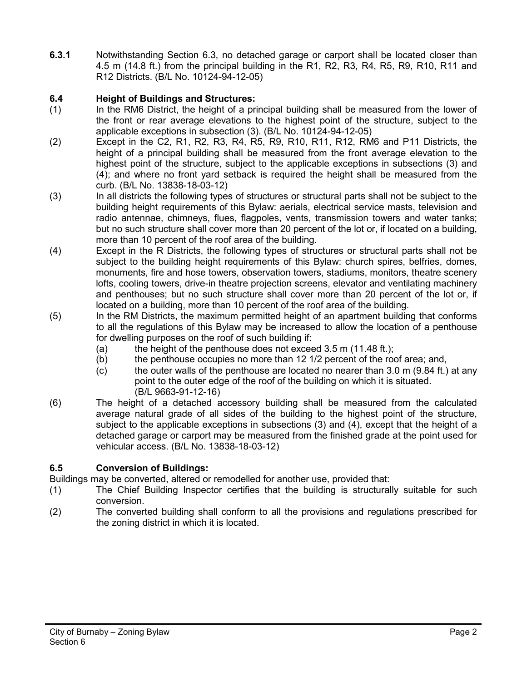**6.3.1** Notwithstanding Section 6.3, no detached garage or carport shall be located closer than 4.5 m (14.8 ft.) from the principal building in the R1, R2, R3, R4, R5, R9, R10, R11 and R12 Districts. (B/L No. 10124-94-12-05)

# **6.4 Height of Buildings and Structures:**

- (1) In the RM6 District, the height of a principal building shall be measured from the lower of the front or rear average elevations to the highest point of the structure, subject to the applicable exceptions in subsection (3). (B/L No. 10124-94-12-05)
- (2) Except in the C2, R1, R2, R3, R4, R5, R9, R10, R11, R12, RM6 and P11 Districts, the height of a principal building shall be measured from the front average elevation to the highest point of the structure, subject to the applicable exceptions in subsections (3) and (4); and where no front yard setback is required the height shall be measured from the curb. (B/L No. 13838-18-03-12)
- (3) In all districts the following types of structures or structural parts shall not be subject to the building height requirements of this Bylaw: aerials, electrical service masts, television and radio antennae, chimneys, flues, flagpoles, vents, transmission towers and water tanks; but no such structure shall cover more than 20 percent of the lot or, if located on a building, more than 10 percent of the roof area of the building.
- (4) Except in the R Districts, the following types of structures or structural parts shall not be subject to the building height requirements of this Bylaw: church spires, belfries, domes, monuments, fire and hose towers, observation towers, stadiums, monitors, theatre scenery lofts, cooling towers, drive-in theatre projection screens, elevator and ventilating machinery and penthouses; but no such structure shall cover more than 20 percent of the lot or, if located on a building, more than 10 percent of the roof area of the building.
- (5) In the RM Districts, the maximum permitted height of an apartment building that conforms to all the regulations of this Bylaw may be increased to allow the location of a penthouse for dwelling purposes on the roof of such building if:
	- (a) the height of the penthouse does not exceed  $3.5$  m (11.48 ft.);<br>(b) the penthouse occupies no more than  $12 \frac{1}{2}$  percent of the rod
	- the penthouse occupies no more than 12 1/2 percent of the roof area; and,
	- $\sigma$  the outer walls of the penthouse are located no nearer than 3.0 m (9.84 ft.) at any point to the outer edge of the roof of the building on which it is situated. (B/L 9663-91-12-16)
- (6) The height of a detached accessory building shall be measured from the calculated average natural grade of all sides of the building to the highest point of the structure, subject to the applicable exceptions in subsections (3) and (4), except that the height of a detached garage or carport may be measured from the finished grade at the point used for vehicular access. (B/L No. 13838-18-03-12)

# **6.5 Conversion of Buildings:**

Buildings may be converted, altered or remodelled for another use, provided that:

- (1) The Chief Building Inspector certifies that the building is structurally suitable for such conversion.
- (2) The converted building shall conform to all the provisions and regulations prescribed for the zoning district in which it is located.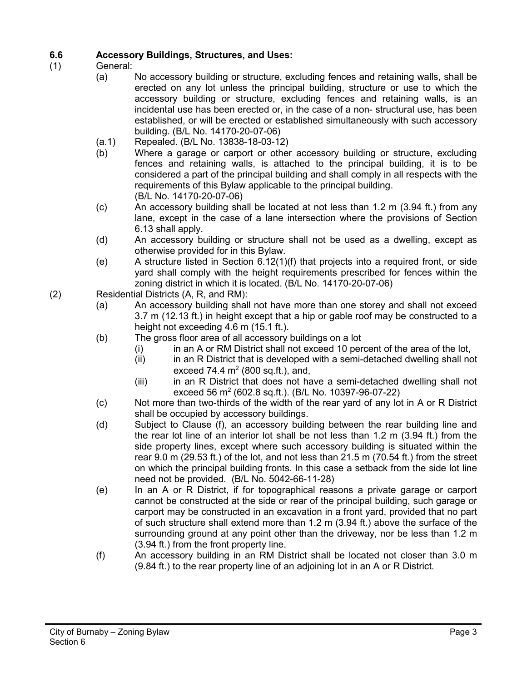# **6.6 Accessory Buildings, Structures, and Uses:**

- General:
	- (a) No accessory building or structure, excluding fences and retaining walls, shall be erected on any lot unless the principal building, structure or use to which the accessory building or structure, excluding fences and retaining walls, is an incidental use has been erected or, in the case of a non- structural use, has been established, or will be erected or established simultaneously with such accessory building. (B/L No. 14170-20-07-06)
	- (a.1) Repealed. (B/L No. 13838-18-03-12)
	- (b) Where a garage or carport or other accessory building or structure, excluding fences and retaining walls, is attached to the principal building, it is to be considered a part of the principal building and shall comply in all respects with the requirements of this Bylaw applicable to the principal building. (B/L No. 14170-20-07-06)
	- (c) An accessory building shall be located at not less than 1.2 m (3.94 ft.) from any lane, except in the case of a lane intersection where the provisions of Section 6.13 shall apply.
	- (d) An accessory building or structure shall not be used as a dwelling, except as otherwise provided for in this Bylaw.
	- (e) A structure listed in Section 6.12(1)(f) that projects into a required front, or side yard shall comply with the height requirements prescribed for fences within the zoning district in which it is located. (B/L No. 14170-20-07-06)
- (2) Residential Districts (A, R, and RM):
	- (a) An accessory building shall not have more than one storey and shall not exceed 3.7 m (12.13 ft.) in height except that a hip or gable roof may be constructed to a height not exceeding 4.6 m (15.1 ft.).
	- (b) The gross floor area of all accessory buildings on a lot
		- (i) in an A or RM District shall not exceed 10 percent of the area of the lot,  $(ii)$  in an R District that is developed with a semi-detached dwelling shall no
			- in an R District that is developed with a semi-detached dwelling shall not exceed 74.4  $m<sup>2</sup>$  (800 sq.ft.), and,
			- (iii) in an R District that does not have a semi-detached dwelling shall not exceed 56  $m^2$  (602.8 sq.ft.). (B/L No. 10397-96-07-22)
	- (c) Not more than two-thirds of the width of the rear yard of any lot in A or R District shall be occupied by accessory buildings.
	- (d) Subject to Clause (f), an accessory building between the rear building line and the rear lot line of an interior lot shall be not less than 1.2 m (3.94 ft.) from the side property lines, except where such accessory building is situated within the rear 9.0 m (29.53 ft.) of the lot, and not less than 21.5 m (70.54 ft.) from the street on which the principal building fronts. In this case a setback from the side lot line need not be provided. (B/L No. 5042-66-11-28)
	- (e) In an A or R District, if for topographical reasons a private garage or carport cannot be constructed at the side or rear of the principal building, such garage or carport may be constructed in an excavation in a front yard, provided that no part of such structure shall extend more than 1.2 m (3.94 ft.) above the surface of the surrounding ground at any point other than the driveway, nor be less than 1.2 m (3.94 ft.) from the front property line.
	- (f) An accessory building in an RM District shall be located not closer than 3.0 m (9.84 ft.) to the rear property line of an adjoining lot in an A or R District.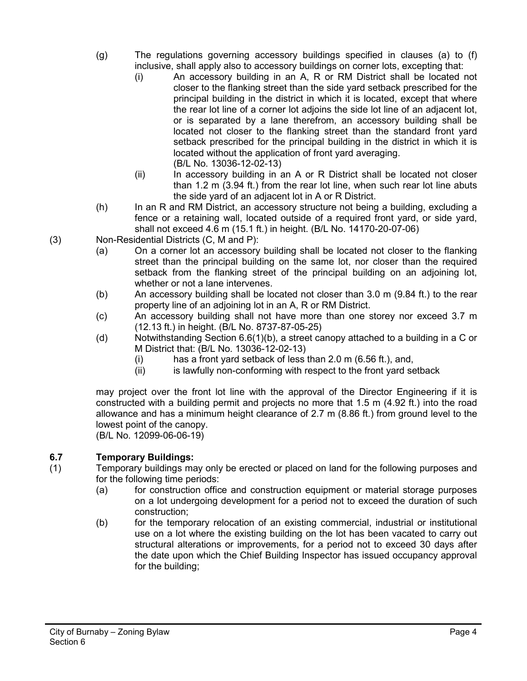- (g) The regulations governing accessory buildings specified in clauses (a) to (f) inclusive, shall apply also to accessory buildings on corner lots, excepting that:
	- (i) An accessory building in an A, R or RM District shall be located not closer to the flanking street than the side yard setback prescribed for the principal building in the district in which it is located, except that where the rear lot line of a corner lot adjoins the side lot line of an adjacent lot, or is separated by a lane therefrom, an accessory building shall be located not closer to the flanking street than the standard front yard setback prescribed for the principal building in the district in which it is located without the application of front yard averaging. (B/L No. 13036-12-02-13)
	- (ii) In accessory building in an A or R District shall be located not closer than 1.2 m (3.94 ft.) from the rear lot line, when such rear lot line abuts the side yard of an adjacent lot in A or R District.
- (h) In an R and RM District, an accessory structure not being a building, excluding a fence or a retaining wall, located outside of a required front yard, or side yard, shall not exceed 4.6 m (15.1 ft.) in height. (B/L No. 14170-20-07-06)
- (3) Non-Residential Districts (C, M and P):
	- (a) On a corner lot an accessory building shall be located not closer to the flanking street than the principal building on the same lot, nor closer than the required setback from the flanking street of the principal building on an adjoining lot, whether or not a lane intervenes.
	- (b) An accessory building shall be located not closer than 3.0 m (9.84 ft.) to the rear property line of an adjoining lot in an A, R or RM District.
	- (c) An accessory building shall not have more than one storey nor exceed 3.7 m (12.13 ft.) in height. (B/L No. 8737-87-05-25)
	- (d) Notwithstanding Section 6.6(1)(b), a street canopy attached to a building in a C or M District that: (B/L No. 13036-12-02-13)
		- (i) has a front yard setback of less than 2.0 m (6.56 ft.), and,
		- (ii) is lawfully non-conforming with respect to the front yard setback

may project over the front lot line with the approval of the Director Engineering if it is constructed with a building permit and projects no more that 1.5 m (4.92 ft.) into the road allowance and has a minimum height clearance of 2.7 m (8.86 ft.) from ground level to the lowest point of the canopy.

(B/L No. 12099-06-06-19)

# **6.7 Temporary Buildings:**

- (1) Temporary buildings may only be erected or placed on land for the following purposes and for the following time periods:
	- (a) for construction office and construction equipment or material storage purposes on a lot undergoing development for a period not to exceed the duration of such construction;
	- (b) for the temporary relocation of an existing commercial, industrial or institutional use on a lot where the existing building on the lot has been vacated to carry out structural alterations or improvements, for a period not to exceed 30 days after the date upon which the Chief Building Inspector has issued occupancy approval for the building;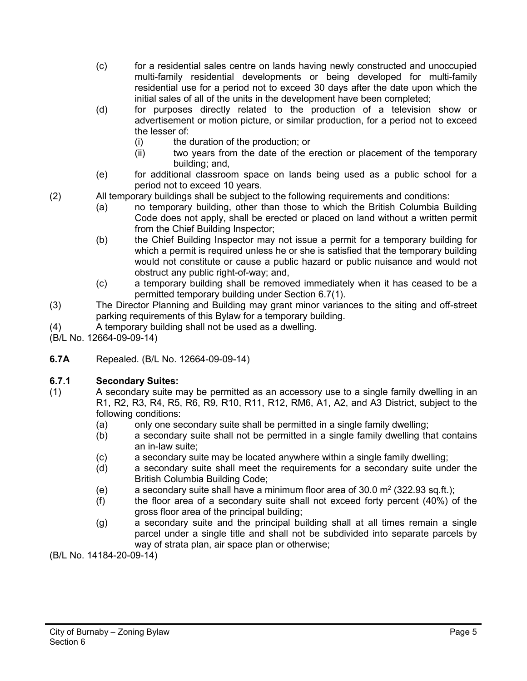- (c) for a residential sales centre on lands having newly constructed and unoccupied multi-family residential developments or being developed for multi-family residential use for a period not to exceed 30 days after the date upon which the initial sales of all of the units in the development have been completed;
- (d) for purposes directly related to the production of a television show or advertisement or motion picture, or similar production, for a period not to exceed the lesser of:
	- (i) the duration of the production; or
	- (ii) two years from the date of the erection or placement of the temporary building; and,
- (e) for additional classroom space on lands being used as a public school for a period not to exceed 10 years.
- (2) All temporary buildings shall be subject to the following requirements and conditions:
	- (a) no temporary building, other than those to which the British Columbia Building Code does not apply, shall be erected or placed on land without a written permit from the Chief Building Inspector;
	- (b) the Chief Building Inspector may not issue a permit for a temporary building for which a permit is required unless he or she is satisfied that the temporary building would not constitute or cause a public hazard or public nuisance and would not obstruct any public right-of-way; and,
	- (c) a temporary building shall be removed immediately when it has ceased to be a permitted temporary building under Section 6.7(1).
- (3) The Director Planning and Building may grant minor variances to the siting and off-street parking requirements of this Bylaw for a temporary building.
- (4) A temporary building shall not be used as a dwelling.
- (B/L No. 12664-09-09-14)
- **6.7A** Repealed. (B/L No. 12664-09-09-14)

# **6.7.1 Secondary Suites:**

- (1) A secondary suite may be permitted as an accessory use to a single family dwelling in an R1, R2, R3, R4, R5, R6, R9, R10, R11, R12, RM6, A1, A2, and A3 District, subject to the following conditions:
	- (a) only one secondary suite shall be permitted in a single family dwelling;
	- (b) a secondary suite shall not be permitted in a single family dwelling that contains an in-law suite;
	- (c) a secondary suite may be located anywhere within a single family dwelling;
	- (d) a secondary suite shall meet the requirements for a secondary suite under the British Columbia Building Code;
	- (e) a secondary suite shall have a minimum floor area of  $30.0 \text{ m}^2$  (322.93 sq.ft.);
	- (f) the floor area of a secondary suite shall not exceed forty percent (40%) of the gross floor area of the principal building;
	- (g) a secondary suite and the principal building shall at all times remain a single parcel under a single title and shall not be subdivided into separate parcels by way of strata plan, air space plan or otherwise;

(B/L No. 14184-20-09-14)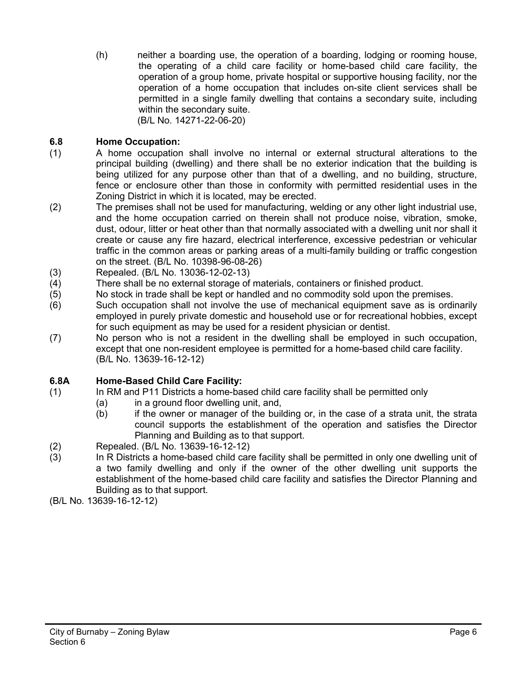(h) neither a boarding use, the operation of a boarding, lodging or rooming house, the operating of a child care facility or home-based child care facility, the operation of a group home, private hospital or supportive housing facility, nor the operation of a home occupation that includes on-site client services shall be permitted in a single family dwelling that contains a secondary suite, including within the secondary suite. (B/L No. 14271-22-06-20)

# **6.8 Home Occupation:**

- (1) A home occupation shall involve no internal or external structural alterations to the principal building (dwelling) and there shall be no exterior indication that the building is being utilized for any purpose other than that of a dwelling, and no building, structure, fence or enclosure other than those in conformity with permitted residential uses in the Zoning District in which it is located, may be erected.
- (2) The premises shall not be used for manufacturing, welding or any other light industrial use, and the home occupation carried on therein shall not produce noise, vibration, smoke, dust, odour, litter or heat other than that normally associated with a dwelling unit nor shall it create or cause any fire hazard, electrical interference, excessive pedestrian or vehicular traffic in the common areas or parking areas of a multi-family building or traffic congestion on the street. (B/L No. 10398-96-08-26)
- (3) Repealed. (B/L No. 13036-12-02-13)
- (4) There shall be no external storage of materials, containers or finished product.<br>(5) No stock in trade shall be kept or handled and no commodity sold upon the pre
- No stock in trade shall be kept or handled and no commodity sold upon the premises.
- (6) Such occupation shall not involve the use of mechanical equipment save as is ordinarily employed in purely private domestic and household use or for recreational hobbies, except for such equipment as may be used for a resident physician or dentist.
- (7) No person who is not a resident in the dwelling shall be employed in such occupation, except that one non-resident employee is permitted for a home-based child care facility. (B/L No. 13639-16-12-12)

# **6.8A Home-Based Child Care Facility:**

- (1) In RM and P11 Districts a home-based child care facility shall be permitted only
	- (a) in a ground floor dwelling unit, and,
		- (b) if the owner or manager of the building or, in the case of a strata unit, the strata council supports the establishment of the operation and satisfies the Director Planning and Building as to that support.
- (2) Repealed. (B/L No. 13639-16-12-12)
- (3) In R Districts a home-based child care facility shall be permitted in only one dwelling unit of a two family dwelling and only if the owner of the other dwelling unit supports the establishment of the home-based child care facility and satisfies the Director Planning and Building as to that support.
- (B/L No. 13639-16-12-12)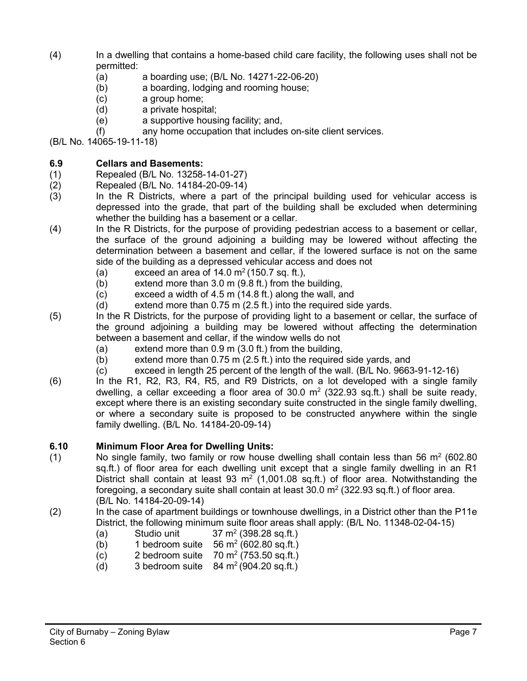- (4) In a dwelling that contains a home-based child care facility, the following uses shall not be permitted:
	- (a) a boarding use; (B/L No. 14271-22-06-20)
	- (b) a boarding, lodging and rooming house;
	- (c) a group home;
	- (d) a private hospital;
	- (e) a supportive housing facility; and,
	- (f) any home occupation that includes on-site client services.

(B/L No. 14065-19-11-18)

# **6.9 Cellars and Basements:**

- (1) Repealed (B/L No. 13258-14-01-27)<br>(2) Repealed (B/L No. 14184-20-09-14)
- (2) Repealed (B/L No. 14184-20-09-14)
- (3) In the R Districts, where a part of the principal building used for vehicular access is depressed into the grade, that part of the building shall be excluded when determining whether the building has a basement or a cellar.
- (4) In the R Districts, for the purpose of providing pedestrian access to a basement or cellar, the surface of the ground adjoining a building may be lowered without affecting the determination between a basement and cellar, if the lowered surface is not on the same side of the building as a depressed vehicular access and does not
	- (a) exceed an area of  $14.0 \text{ m}^2$  (150.7 sq. ft.),
	- (b) extend more than  $3.0 \text{ m}$  (9.8 ft.) from the building, <br>(c) exceed a width of  $4.5 \text{ m}$  (14.8 ft.) along the wall, a
	- exceed a width of 4.5 m (14.8 ft.) along the wall, and
	- (d) extend more than 0.75 m (2.5 ft.) into the required side yards.
- (5) In the R Districts, for the purpose of providing light to a basement or cellar, the surface of the ground adjoining a building may be lowered without affecting the determination between a basement and cellar, if the window wells do not
	- (a) extend more than 0.9 m (3.0 ft.) from the building,
	- (b) extend more than 0.75 m (2.5 ft.) into the required side yards, and
	- (c) exceed in length 25 percent of the length of the wall. (B/L No. 9663-91-12-16)
- (6) In the R1, R2, R3, R4, R5, and R9 Districts, on a lot developed with a single family dwelling, a cellar exceeding a floor area of  $30.0 \text{ m}^2$  (322.93 sq.ft.) shall be suite ready, except where there is an existing secondary suite constructed in the single family dwelling, or where a secondary suite is proposed to be constructed anywhere within the single family dwelling. (B/L No. 14184-20-09-14)

# **6.10 Minimum Floor Area for Dwelling Units:**

- (1) No single family, two family or row house dwelling shall contain less than 56  $m^2$  (602.80) sq.ft.) of floor area for each dwelling unit except that a single family dwelling in an R1 District shall contain at least 93  $m^2$  (1,001.08 sq.ft.) of floor area. Notwithstanding the foregoing, a secondary suite shall contain at least  $30.0 \text{ m}^2$  (322.93 sq.ft.) of floor area. (B/L No. 14184-20-09-14)
- (2) In the case of apartment buildings or townhouse dwellings, in a District other than the P11e District, the following minimum suite floor areas shall apply: (B/L No. 11348-02-04-15)
	- (a) Studio unit  $37 \text{ m}^2$  (398.28 sq.ft.)
	- (b) 1 bedroom suite  $56 \text{ m}^2$  (602.80 sq.ft.)
	- (c) 2 bedroom suite  $70 \text{ m}^2$  (753.50 sq.ft.)
	- (d) 3 bedroom suite  $84 \text{ m}^2 (904.20 \text{ sq.ft.})$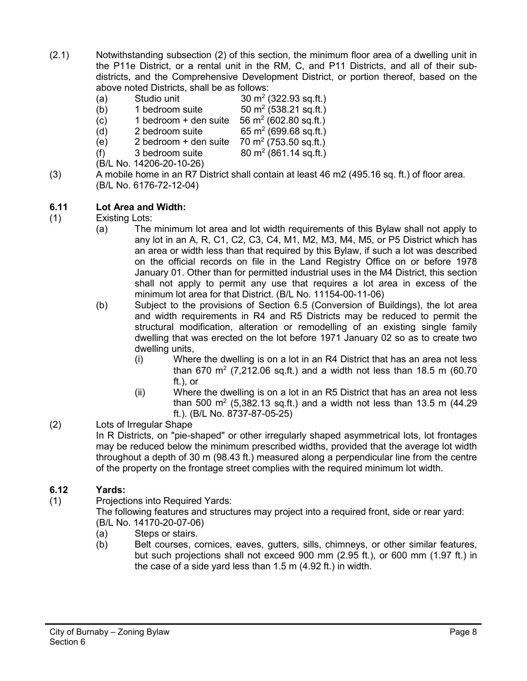- (2.1) Notwithstanding subsection (2) of this section, the minimum floor area of a dwelling unit in the P11e District, or a rental unit in the RM, C, and P11 Districts, and all of their subdistricts, and the Comprehensive Development District, or portion thereof, based on the above noted Districts, shall be as follows:
	- (a) Studio unit  $30 \text{ m}^2$  (322.93 sq.ft.)
	- $(b)$  1 bedroom suite 50 m<sup>2</sup> (538.21 sq.ft.)
	- (c) 1 bedroom + den suite  $56 \text{ m}^2$  (602.80 sq.ft.)
	- (d) 2 bedroom suite 65 m<sup>2</sup> (699.68 sq.ft.)
	- (e) 2 bedroom + den suite  $70 \text{ m}^2 (753.50 \text{ sq.ft.})$ <br>(f) 3 bedroom suite  $80 \text{ m}^2 (861.14 \text{ sq.ft.})$ (f) 3 bedroom suite  $80 \text{ m}^2 (861.14 \text{ sq. ft.})$

(B/L No. 14206-20-10-26)

(3) A mobile home in an R7 District shall contain at least 46 m2 (495.16 sq. ft.) of floor area. (B/L No. 6176-72-12-04)

# **6.11 Lot Area and Width:**

- (1) Existing Lots:
	- (a) The minimum lot area and lot width requirements of this Bylaw shall not apply to any lot in an A, R, C1, C2, C3, C4, M1, M2, M3, M4, M5, or P5 District which has an area or width less than that required by this Bylaw, if such a lot was described on the official records on file in the Land Registry Office on or before 1978 January 01. Other than for permitted industrial uses in the M4 District, this section shall not apply to permit any use that requires a lot area in excess of the minimum lot area for that District. (B/L No. 11154-00-11-06)
	- (b) Subject to the provisions of Section 6.5 (Conversion of Buildings), the lot area and width requirements in R4 and R5 Districts may be reduced to permit the structural modification, alteration or remodelling of an existing single family dwelling that was erected on the lot before 1971 January 02 so as to create two dwelling units,
		- (i) Where the dwelling is on a lot in an R4 District that has an area not less than 670 m<sup>2</sup> (7,212.06 sq.ft.) and a width not less than 18.5 m (60.70 ft.), or
		- (ii) Where the dwelling is on a lot in an R5 District that has an area not less than 500  $\text{m}^2$  (5,382.13 sq.ft.) and a width not less than 13.5 m (44.29 ft.). (B/L No. 8737-87-05-25)

# (2) Lots of Irregular Shape

In R Districts, on "pie-shaped" or other irregularly shaped asymmetrical lots, lot frontages may be reduced below the minimum prescribed widths, provided that the average lot width throughout a depth of 30 m (98.43 ft.) measured along a perpendicular line from the centre of the property on the frontage street complies with the required minimum lot width.

# **6.12 Yards:**

(1) Projections into Required Yards:

The following features and structures may project into a required front, side or rear yard: (B/L No. 14170-20-07-06)

- (a) Steps or stairs.
- (b) Belt courses, cornices, eaves, gutters, sills, chimneys, or other similar features, but such projections shall not exceed 900 mm (2.95 ft.), or 600 mm (1.97 ft.) in the case of a side yard less than 1.5 m (4.92 ft.) in width.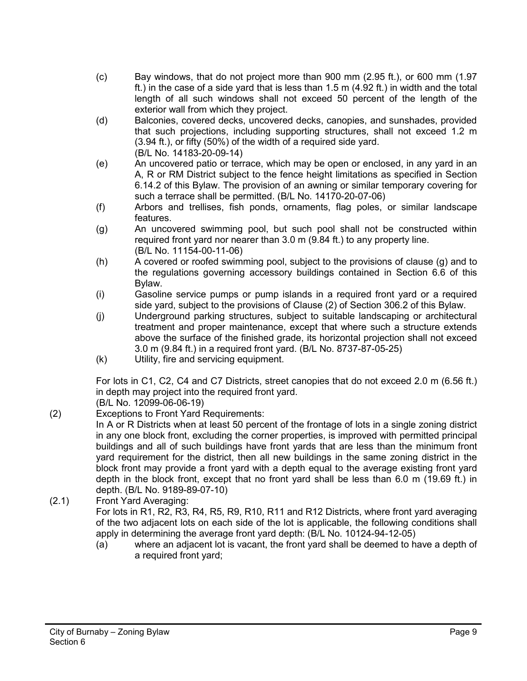- (c) Bay windows, that do not project more than 900 mm (2.95 ft.), or 600 mm (1.97 ft.) in the case of a side yard that is less than 1.5 m (4.92 ft.) in width and the total length of all such windows shall not exceed 50 percent of the length of the exterior wall from which they project.
- (d) Balconies, covered decks, uncovered decks, canopies, and sunshades, provided that such projections, including supporting structures, shall not exceed 1.2 m (3.94 ft.), or fifty (50%) of the width of a required side yard. (B/L No. 14183-20-09-14)
- (e) An uncovered patio or terrace, which may be open or enclosed, in any yard in an A, R or RM District subject to the fence height limitations as specified in Section 6.14.2 of this Bylaw. The provision of an awning or similar temporary covering for such a terrace shall be permitted. (B/L No. 14170-20-07-06)
- (f) Arbors and trellises, fish ponds, ornaments, flag poles, or similar landscape features.
- (g) An uncovered swimming pool, but such pool shall not be constructed within required front yard nor nearer than 3.0 m (9.84 ft.) to any property line. (B/L No. 11154-00-11-06)
- (h) A covered or roofed swimming pool, subject to the provisions of clause (g) and to the regulations governing accessory buildings contained in Section 6.6 of this Bylaw.
- (i) Gasoline service pumps or pump islands in a required front yard or a required side yard, subject to the provisions of Clause (2) of Section 306.2 of this Bylaw.
- (j) Underground parking structures, subject to suitable landscaping or architectural treatment and proper maintenance, except that where such a structure extends above the surface of the finished grade, its horizontal projection shall not exceed 3.0 m (9.84 ft.) in a required front yard. (B/L No. 8737-87-05-25)
- (k) Utility, fire and servicing equipment.

For lots in C1, C2, C4 and C7 Districts, street canopies that do not exceed 2.0 m (6.56 ft.) in depth may project into the required front yard.

(B/L No. 12099-06-06-19)

(2) Exceptions to Front Yard Requirements:

In A or R Districts when at least 50 percent of the frontage of lots in a single zoning district in any one block front, excluding the corner properties, is improved with permitted principal buildings and all of such buildings have front yards that are less than the minimum front yard requirement for the district, then all new buildings in the same zoning district in the block front may provide a front yard with a depth equal to the average existing front yard depth in the block front, except that no front yard shall be less than 6.0 m (19.69 ft.) in depth. (B/L No. 9189-89-07-10)

(2.1) Front Yard Averaging:

For lots in R1, R2, R3, R4, R5, R9, R10, R11 and R12 Districts, where front yard averaging of the two adjacent lots on each side of the lot is applicable, the following conditions shall apply in determining the average front yard depth: (B/L No. 10124-94-12-05)

(a) where an adjacent lot is vacant, the front yard shall be deemed to have a depth of a required front yard;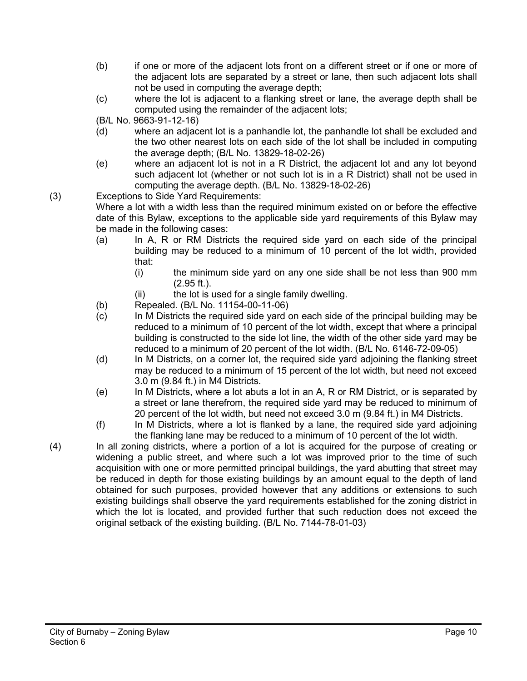- (b) if one or more of the adjacent lots front on a different street or if one or more of the adjacent lots are separated by a street or lane, then such adjacent lots shall not be used in computing the average depth;
- (c) where the lot is adjacent to a flanking street or lane, the average depth shall be computed using the remainder of the adjacent lots;

(B/L No. 9663-91-12-16)

- (d) where an adjacent lot is a panhandle lot, the panhandle lot shall be excluded and the two other nearest lots on each side of the lot shall be included in computing the average depth; (B/L No. 13829-18-02-26)
- (e) where an adjacent lot is not in a R District, the adjacent lot and any lot beyond such adjacent lot (whether or not such lot is in a R District) shall not be used in computing the average depth. (B/L No. 13829-18-02-26)
- (3) Exceptions to Side Yard Requirements:

Where a lot with a width less than the required minimum existed on or before the effective date of this Bylaw, exceptions to the applicable side yard requirements of this Bylaw may be made in the following cases:

- (a) In A, R or RM Districts the required side yard on each side of the principal building may be reduced to a minimum of 10 percent of the lot width, provided that:
	- (i) the minimum side yard on any one side shall be not less than 900 mm (2.95 ft.).
	- (ii) the lot is used for a single family dwelling.
- (b) Repealed. (B/L No. 11154-00-11-06)
- (c) In M Districts the required side yard on each side of the principal building may be reduced to a minimum of 10 percent of the lot width, except that where a principal building is constructed to the side lot line, the width of the other side yard may be reduced to a minimum of 20 percent of the lot width. (B/L No. 6146-72-09-05)
- (d) In M Districts, on a corner lot, the required side yard adjoining the flanking street may be reduced to a minimum of 15 percent of the lot width, but need not exceed 3.0 m (9.84 ft.) in M4 Districts.
- (e) In M Districts, where a lot abuts a lot in an A, R or RM District, or is separated by a street or lane therefrom, the required side yard may be reduced to minimum of 20 percent of the lot width, but need not exceed 3.0 m (9.84 ft.) in M4 Districts.
- (f) In M Districts, where a lot is flanked by a lane, the required side yard adjoining the flanking lane may be reduced to a minimum of 10 percent of the lot width.

(4) In all zoning districts, where a portion of a lot is acquired for the purpose of creating or widening a public street, and where such a lot was improved prior to the time of such acquisition with one or more permitted principal buildings, the yard abutting that street may be reduced in depth for those existing buildings by an amount equal to the depth of land obtained for such purposes, provided however that any additions or extensions to such existing buildings shall observe the yard requirements established for the zoning district in which the lot is located, and provided further that such reduction does not exceed the original setback of the existing building. (B/L No. 7144-78-01-03)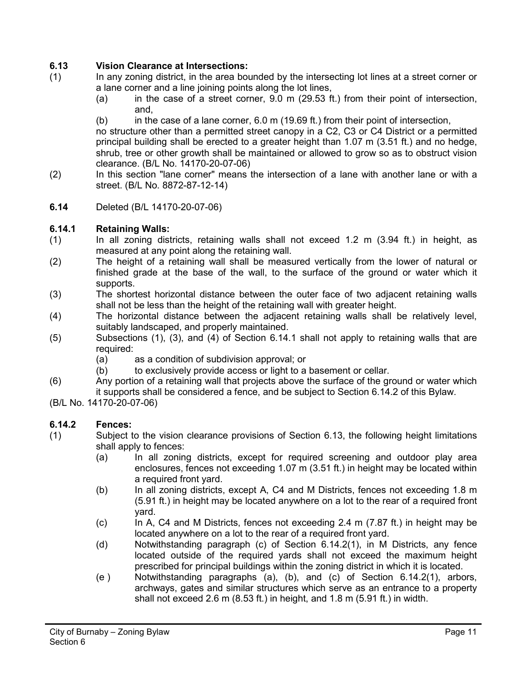# **6.13 Vision Clearance at Intersections:**

- (1) In any zoning district, in the area bounded by the intersecting lot lines at a street corner or a lane corner and a line joining points along the lot lines,
	- (a) in the case of a street corner, 9.0 m (29.53 ft.) from their point of intersection, and,
	- $(b)$  in the case of a lane corner,  $6.0$  m (19.69 ft.) from their point of intersection,

no structure other than a permitted street canopy in a C2, C3 or C4 District or a permitted principal building shall be erected to a greater height than 1.07 m (3.51 ft.) and no hedge, shrub, tree or other growth shall be maintained or allowed to grow so as to obstruct vision clearance. (B/L No. 14170-20-07-06)

- (2) In this section "lane corner" means the intersection of a lane with another lane or with a street. (B/L No. 8872-87-12-14)
- **6.14** Deleted (B/L 14170-20-07-06)

# **6.14.1 Retaining Walls:**

- (1) In all zoning districts, retaining walls shall not exceed 1.2 m (3.94 ft.) in height, as measured at any point along the retaining wall.
- (2) The height of a retaining wall shall be measured vertically from the lower of natural or finished grade at the base of the wall, to the surface of the ground or water which it supports.
- (3) The shortest horizontal distance between the outer face of two adjacent retaining walls shall not be less than the height of the retaining wall with greater height.
- (4) The horizontal distance between the adjacent retaining walls shall be relatively level, suitably landscaped, and properly maintained.
- (5) Subsections (1), (3), and (4) of Section 6.14.1 shall not apply to retaining walls that are required:
	- (a) as a condition of subdivision approval; or
	- (b) to exclusively provide access or light to a basement or cellar.
- (6) Any portion of a retaining wall that projects above the surface of the ground or water which it supports shall be considered a fence, and be subject to Section 6.14.2 of this Bylaw.
- (B/L No. 14170-20-07-06)

# **6.14.2 Fences:**

- (1) Subject to the vision clearance provisions of Section 6.13, the following height limitations shall apply to fences:
	- (a) In all zoning districts, except for required screening and outdoor play area enclosures, fences not exceeding 1.07 m (3.51 ft.) in height may be located within a required front yard.
	- (b) In all zoning districts, except A, C4 and M Districts, fences not exceeding 1.8 m (5.91 ft.) in height may be located anywhere on a lot to the rear of a required front yard.
	- (c) In A, C4 and M Districts, fences not exceeding 2.4 m (7.87 ft.) in height may be located anywhere on a lot to the rear of a required front yard.
	- (d) Notwithstanding paragraph (c) of Section 6.14.2(1), in M Districts, any fence located outside of the required yards shall not exceed the maximum height prescribed for principal buildings within the zoning district in which it is located.
	- (e ) Notwithstanding paragraphs (a), (b), and (c) of Section 6.14.2(1), arbors, archways, gates and similar structures which serve as an entrance to a property shall not exceed 2.6 m (8.53 ft.) in height, and 1.8 m (5.91 ft.) in width.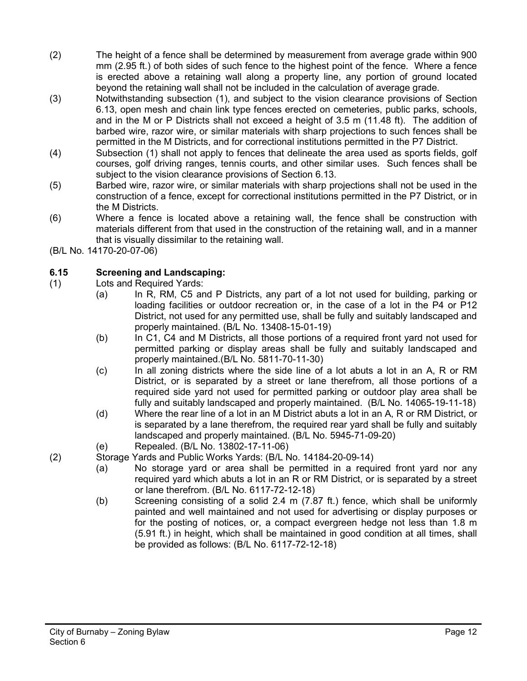- (2) The height of a fence shall be determined by measurement from average grade within 900 mm (2.95 ft.) of both sides of such fence to the highest point of the fence. Where a fence is erected above a retaining wall along a property line, any portion of ground located beyond the retaining wall shall not be included in the calculation of average grade.
- (3) Notwithstanding subsection (1), and subject to the vision clearance provisions of Section 6.13, open mesh and chain link type fences erected on cemeteries, public parks, schools, and in the M or P Districts shall not exceed a height of 3.5 m (11.48 ft). The addition of barbed wire, razor wire, or similar materials with sharp projections to such fences shall be permitted in the M Districts, and for correctional institutions permitted in the P7 District.
- (4) Subsection (1) shall not apply to fences that delineate the area used as sports fields, golf courses, golf driving ranges, tennis courts, and other similar uses. Such fences shall be subject to the vision clearance provisions of Section 6.13.
- (5) Barbed wire, razor wire, or similar materials with sharp projections shall not be used in the construction of a fence, except for correctional institutions permitted in the P7 District, or in the M Districts.
- (6) Where a fence is located above a retaining wall, the fence shall be construction with materials different from that used in the construction of the retaining wall, and in a manner that is visually dissimilar to the retaining wall.
- (B/L No. 14170-20-07-06)

# **6.15 Screening and Landscaping:**

- (1) Lots and Required Yards:
	- (a) In R, RM, C5 and P Districts, any part of a lot not used for building, parking or loading facilities or outdoor recreation or, in the case of a lot in the P4 or P12 District, not used for any permitted use, shall be fully and suitably landscaped and properly maintained. (B/L No. 13408-15-01-19)
	- (b) In C1, C4 and M Districts, all those portions of a required front yard not used for permitted parking or display areas shall be fully and suitably landscaped and properly maintained.(B/L No. 5811-70-11-30)
	- (c) In all zoning districts where the side line of a lot abuts a lot in an A, R or RM District, or is separated by a street or lane therefrom, all those portions of a required side yard not used for permitted parking or outdoor play area shall be fully and suitably landscaped and properly maintained. (B/L No. 14065-19-11-18)
	- (d) Where the rear line of a lot in an M District abuts a lot in an A, R or RM District, or is separated by a lane therefrom, the required rear yard shall be fully and suitably landscaped and properly maintained. (B/L No. 5945-71-09-20)
	- (e) Repealed. (B/L No. 13802-17-11-06)

(2) Storage Yards and Public Works Yards: (B/L No. 14184-20-09-14)

- (a) No storage yard or area shall be permitted in a required front yard nor any required yard which abuts a lot in an R or RM District, or is separated by a street or lane therefrom. (B/L No. 6117-72-12-18)
- (b) Screening consisting of a solid 2.4 m (7.87 ft.) fence, which shall be uniformly painted and well maintained and not used for advertising or display purposes or for the posting of notices, or, a compact evergreen hedge not less than 1.8 m (5.91 ft.) in height, which shall be maintained in good condition at all times, shall be provided as follows: (B/L No. 6117-72-12-18)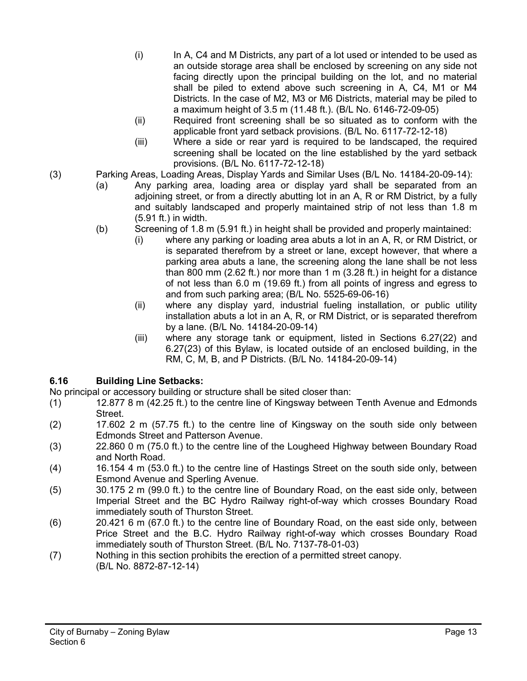- (i) In A, C4 and M Districts, any part of a lot used or intended to be used as an outside storage area shall be enclosed by screening on any side not facing directly upon the principal building on the lot, and no material shall be piled to extend above such screening in A, C4, M1 or M4 Districts. In the case of M2, M3 or M6 Districts, material may be piled to a maximum height of 3.5 m (11.48 ft.). (B/L No. 6146-72-09-05)
- (ii) Required front screening shall be so situated as to conform with the applicable front yard setback provisions. (B/L No. 6117-72-12-18)
- (iii) Where a side or rear yard is required to be landscaped, the required screening shall be located on the line established by the yard setback provisions. (B/L No. 6117-72-12-18)
- (3) Parking Areas, Loading Areas, Display Yards and Similar Uses (B/L No. 14184-20-09-14):
	- (a) Any parking area, loading area or display yard shall be separated from an adjoining street, or from a directly abutting lot in an A, R or RM District, by a fully and suitably landscaped and properly maintained strip of not less than 1.8 m (5.91 ft.) in width.
	- (b) Screening of 1.8 m (5.91 ft.) in height shall be provided and properly maintained:
		- (i) where any parking or loading area abuts a lot in an A, R, or RM District, or is separated therefrom by a street or lane, except however, that where a parking area abuts a lane, the screening along the lane shall be not less than 800 mm (2.62 ft.) nor more than 1 m (3.28 ft.) in height for a distance of not less than 6.0 m (19.69 ft.) from all points of ingress and egress to and from such parking area; (B/L No. 5525-69-06-16)
		- (ii) where any display yard, industrial fueling installation, or public utility installation abuts a lot in an A, R, or RM District, or is separated therefrom by a lane. (B/L No. 14184-20-09-14)
		- (iii) where any storage tank or equipment, listed in Sections 6.27(22) and 6.27(23) of this Bylaw, is located outside of an enclosed building, in the RM, C, M, B, and P Districts. (B/L No. 14184-20-09-14)

# **6.16 Building Line Setbacks:**

No principal or accessory building or structure shall be sited closer than:

- (1) 12.877 8 m (42.25 ft.) to the centre line of Kingsway between Tenth Avenue and Edmonds Street.
- (2) 17.602 2 m (57.75 ft.) to the centre line of Kingsway on the south side only between Edmonds Street and Patterson Avenue.
- (3) 22.860 0 m (75.0 ft.) to the centre line of the Lougheed Highway between Boundary Road and North Road.
- (4) 16.154 4 m (53.0 ft.) to the centre line of Hastings Street on the south side only, between Esmond Avenue and Sperling Avenue.
- (5) 30.175 2 m (99.0 ft.) to the centre line of Boundary Road, on the east side only, between Imperial Street and the BC Hydro Railway right-of-way which crosses Boundary Road immediately south of Thurston Street.
- (6) 20.421 6 m (67.0 ft.) to the centre line of Boundary Road, on the east side only, between Price Street and the B.C. Hydro Railway right-of-way which crosses Boundary Road immediately south of Thurston Street. (B/L No. 7137-78-01-03)
- (7) Nothing in this section prohibits the erection of a permitted street canopy. (B/L No. 8872-87-12-14)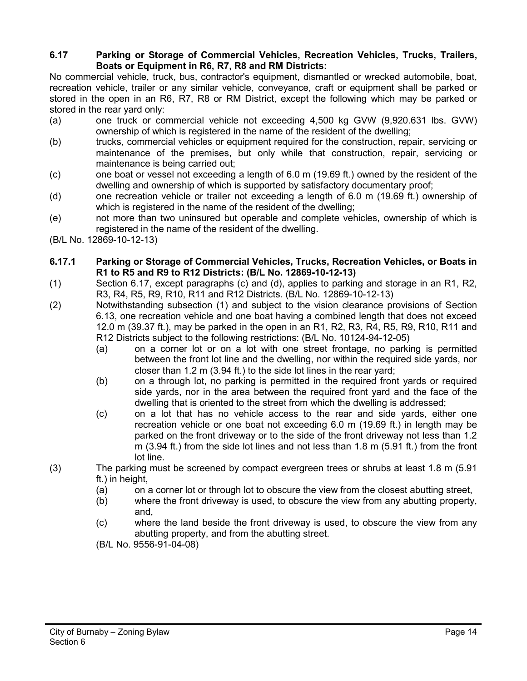#### **6.17 Parking or Storage of Commercial Vehicles, Recreation Vehicles, Trucks, Trailers, Boats or Equipment in R6, R7, R8 and RM Districts:**

No commercial vehicle, truck, bus, contractor's equipment, dismantled or wrecked automobile, boat, recreation vehicle, trailer or any similar vehicle, conveyance, craft or equipment shall be parked or stored in the open in an R6, R7, R8 or RM District, except the following which may be parked or stored in the rear yard only:

- (a) one truck or commercial vehicle not exceeding 4,500 kg GVW (9,920.631 lbs. GVW) ownership of which is registered in the name of the resident of the dwelling;
- (b) trucks, commercial vehicles or equipment required for the construction, repair, servicing or maintenance of the premises, but only while that construction, repair, servicing or maintenance is being carried out;
- (c) one boat or vessel not exceeding a length of 6.0 m (19.69 ft.) owned by the resident of the dwelling and ownership of which is supported by satisfactory documentary proof;
- (d) one recreation vehicle or trailer not exceeding a length of 6.0 m (19.69 ft.) ownership of which is registered in the name of the resident of the dwelling;
- (e) not more than two uninsured but operable and complete vehicles, ownership of which is registered in the name of the resident of the dwelling.
- (B/L No. 12869-10-12-13)

#### **6.17.1 Parking or Storage of Commercial Vehicles, Trucks, Recreation Vehicles, or Boats in R1 to R5 and R9 to R12 Districts: (B/L No. 12869-10-12-13)**

- (1) Section 6.17, except paragraphs (c) and (d), applies to parking and storage in an R1, R2, R3, R4, R5, R9, R10, R11 and R12 Districts. (B/L No. 12869-10-12-13)
- (2) Notwithstanding subsection (1) and subject to the vision clearance provisions of Section 6.13, one recreation vehicle and one boat having a combined length that does not exceed 12.0 m (39.37 ft.), may be parked in the open in an R1, R2, R3, R4, R5, R9, R10, R11 and R12 Districts subject to the following restrictions: (B/L No. 10124-94-12-05)
	- (a) on a corner lot or on a lot with one street frontage, no parking is permitted between the front lot line and the dwelling, nor within the required side yards, nor closer than 1.2 m (3.94 ft.) to the side lot lines in the rear yard;
	- (b) on a through lot, no parking is permitted in the required front yards or required side yards, nor in the area between the required front yard and the face of the dwelling that is oriented to the street from which the dwelling is addressed;
	- (c) on a lot that has no vehicle access to the rear and side yards, either one recreation vehicle or one boat not exceeding 6.0 m (19.69 ft.) in length may be parked on the front driveway or to the side of the front driveway not less than 1.2 m (3.94 ft.) from the side lot lines and not less than 1.8 m (5.91 ft.) from the front lot line.
- (3) The parking must be screened by compact evergreen trees or shrubs at least 1.8 m (5.91 ft.) in height,
	- (a) on a corner lot or through lot to obscure the view from the closest abutting street,
	- (b) where the front driveway is used, to obscure the view from any abutting property, and,
	- (c) where the land beside the front driveway is used, to obscure the view from any abutting property, and from the abutting street.
	- (B/L No. 9556-91-04-08)
- City of Burnaby Zoning Bylaw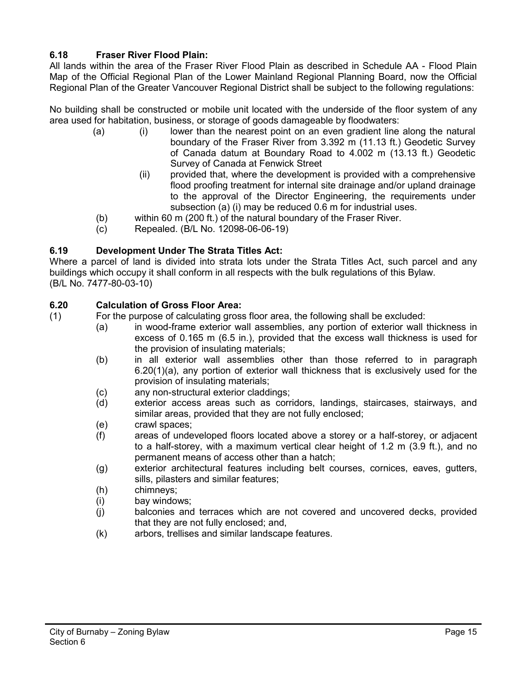# **6.18 Fraser River Flood Plain:**

All lands within the area of the Fraser River Flood Plain as described in Schedule AA - Flood Plain Map of the Official Regional Plan of the Lower Mainland Regional Planning Board, now the Official Regional Plan of the Greater Vancouver Regional District shall be subject to the following regulations:

No building shall be constructed or mobile unit located with the underside of the floor system of any area used for habitation, business, or storage of goods damageable by floodwaters:

- (a) (i) lower than the nearest point on an even gradient line along the natural boundary of the Fraser River from 3.392 m (11.13 ft.) Geodetic Survey of Canada datum at Boundary Road to 4.002 m (13.13 ft.) Geodetic Survey of Canada at Fenwick Street
	- (ii) provided that, where the development is provided with a comprehensive flood proofing treatment for internal site drainage and/or upland drainage to the approval of the Director Engineering, the requirements under subsection (a) (i) may be reduced 0.6 m for industrial uses.
- (b) within 60 m (200 ft.) of the natural boundary of the Fraser River.
- (c) Repealed. (B/L No. 12098-06-06-19)

# **6.19 Development Under The Strata Titles Act:**

Where a parcel of land is divided into strata lots under the Strata Titles Act, such parcel and any buildings which occupy it shall conform in all respects with the bulk regulations of this Bylaw. (B/L No. 7477-80-03-10)

#### **6.20 Calculation of Gross Floor Area:**

- (1) For the purpose of calculating gross floor area, the following shall be excluded:
	- (a) in wood-frame exterior wall assemblies, any portion of exterior wall thickness in excess of 0.165 m (6.5 in.), provided that the excess wall thickness is used for the provision of insulating materials;
	- (b) in all exterior wall assemblies other than those referred to in paragraph 6.20(1)(a), any portion of exterior wall thickness that is exclusively used for the provision of insulating materials;
	- (c) any non-structural exterior claddings;
	- (d) exterior access areas such as corridors, landings, staircases, stairways, and similar areas, provided that they are not fully enclosed;
	- (e) crawl spaces;
	- (f) areas of undeveloped floors located above a storey or a half-storey, or adjacent to a half-storey, with a maximum vertical clear height of 1.2 m (3.9 ft.), and no permanent means of access other than a hatch;
	- (g) exterior architectural features including belt courses, cornices, eaves, gutters, sills, pilasters and similar features;
	- (h) chimneys;
	- (i) bay windows;
	- (j) balconies and terraces which are not covered and uncovered decks, provided that they are not fully enclosed; and,
	- (k) arbors, trellises and similar landscape features.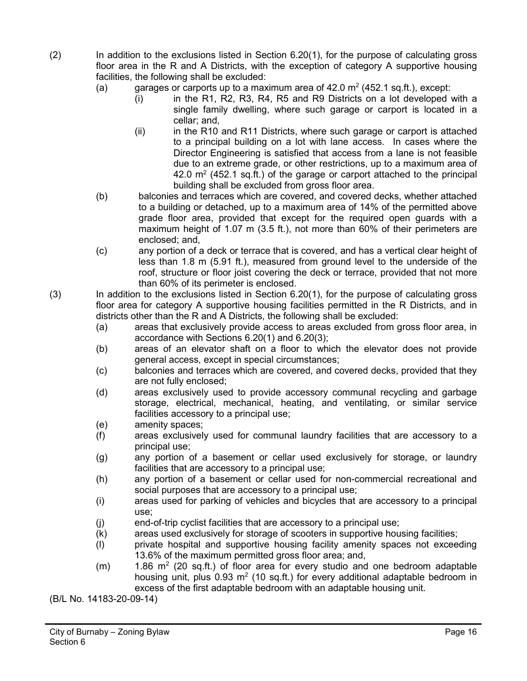- (2) In addition to the exclusions listed in Section 6.20(1), for the purpose of calculating gross floor area in the R and A Districts, with the exception of category A supportive housing facilities, the following shall be excluded:
	- (a) garages or carports up to a maximum area of  $42.0 \text{ m}^2$  (452.1 sq.ft.), except:
		- (i) in the R1, R2, R3, R4, R5 and R9 Districts on a lot developed with a single family dwelling, where such garage or carport is located in a cellar; and,
		- (ii) in the R10 and R11 Districts, where such garage or carport is attached to a principal building on a lot with lane access. In cases where the Director Engineering is satisfied that access from a lane is not feasible due to an extreme grade, or other restrictions, up to a maximum area of 42.0  $\mathrm{m}^2$  (452.1 sq.ft.) of the garage or carport attached to the principal building shall be excluded from gross floor area.
	- (b) balconies and terraces which are covered, and covered decks, whether attached to a building or detached, up to a maximum area of 14% of the permitted above grade floor area, provided that except for the required open guards with a maximum height of 1.07 m (3.5 ft.), not more than 60% of their perimeters are enclosed; and,
	- (c) any portion of a deck or terrace that is covered, and has a vertical clear height of less than 1.8 m (5.91 ft.), measured from ground level to the underside of the roof, structure or floor joist covering the deck or terrace, provided that not more than 60% of its perimeter is enclosed.
- (3) In addition to the exclusions listed in Section 6.20(1), for the purpose of calculating gross floor area for category A supportive housing facilities permitted in the R Districts, and in districts other than the R and A Districts, the following shall be excluded:
	- (a) areas that exclusively provide access to areas excluded from gross floor area, in accordance with Sections 6.20(1) and 6.20(3);
	- (b) areas of an elevator shaft on a floor to which the elevator does not provide general access, except in special circumstances;
	- (c) balconies and terraces which are covered, and covered decks, provided that they are not fully enclosed;
	- (d) areas exclusively used to provide accessory communal recycling and garbage storage, electrical, mechanical, heating, and ventilating, or similar service facilities accessory to a principal use;
	- (e) amenity spaces;
	- (f) areas exclusively used for communal laundry facilities that are accessory to a principal use;
	- (g) any portion of a basement or cellar used exclusively for storage, or laundry facilities that are accessory to a principal use;
	- (h) any portion of a basement or cellar used for non-commercial recreational and social purposes that are accessory to a principal use;
	- (i) areas used for parking of vehicles and bicycles that are accessory to a principal use;
	- (j) end-of-trip cyclist facilities that are accessory to a principal use;
	- (k) areas used exclusively for storage of scooters in supportive housing facilities;
	- (l) private hospital and supportive housing facility amenity spaces not exceeding 13.6% of the maximum permitted gross floor area; and,
	- $(m)$  1.86 m<sup>2</sup> (20 sq.ft.) of floor area for every studio and one bedroom adaptable housing unit, plus  $0.93 \text{ m}^2$  (10 sq.ft.) for every additional adaptable bedroom in excess of the first adaptable bedroom with an adaptable housing unit.

(B/L No. 14183-20-09-14)

Page 16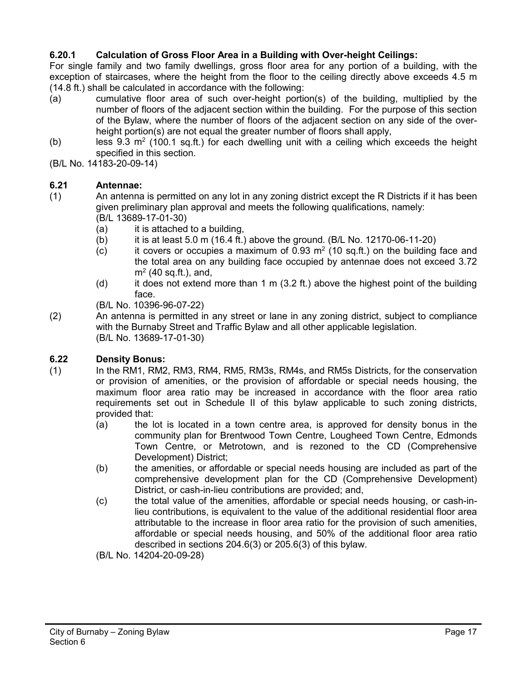# **6.20.1 Calculation of Gross Floor Area in a Building with Over-height Ceilings:**

For single family and two family dwellings, gross floor area for any portion of a building, with the exception of staircases, where the height from the floor to the ceiling directly above exceeds 4.5 m (14.8 ft.) shall be calculated in accordance with the following:

- (a) cumulative floor area of such over-height portion(s) of the building, multiplied by the number of floors of the adjacent section within the building. For the purpose of this section of the Bylaw, where the number of floors of the adjacent section on any side of the overheight portion(s) are not equal the greater number of floors shall apply,
- (b) less 9.3  $m^2$  (100.1 sq.ft.) for each dwelling unit with a ceiling which exceeds the height specified in this section.
- (B/L No. 14183-20-09-14)

#### **6.21 Antennae:**

- (1) An antenna is permitted on any lot in any zoning district except the R Districts if it has been given preliminary plan approval and meets the following qualifications, namely: (B/L 13689-17-01-30)
	- (a) it is attached to a building.
	- (b) it is at least 5.0 m (16.4 ft.) above the ground. (B/L No. 12170-06-11-20)
	- (c) it covers or occupies a maximum of 0.93 m<sup>2</sup> (10 sq.ft.) on the building face and the total area on any building face occupied by antennae does not exceed 3.72  $m<sup>2</sup>$  (40 sq.ft.), and,
	- (d) it does not extend more than 1 m (3.2 ft.) above the highest point of the building face.

(B/L No. 10396-96-07-22)

(2) An antenna is permitted in any street or lane in any zoning district, subject to compliance with the Burnaby Street and Traffic Bylaw and all other applicable legislation. (B/L No. 13689-17-01-30)

# **6.22 Density Bonus:**

- (1) In the RM1, RM2, RM3, RM4, RM5, RM3s, RM4s, and RM5s Districts, for the conservation or provision of amenities, or the provision of affordable or special needs housing, the maximum floor area ratio may be increased in accordance with the floor area ratio requirements set out in Schedule II of this bylaw applicable to such zoning districts, provided that:
	- (a) the lot is located in a town centre area, is approved for density bonus in the community plan for Brentwood Town Centre, Lougheed Town Centre, Edmonds Town Centre, or Metrotown, and is rezoned to the CD (Comprehensive Development) District;
	- (b) the amenities, or affordable or special needs housing are included as part of the comprehensive development plan for the CD (Comprehensive Development) District, or cash-in-lieu contributions are provided; and,
	- (c) the total value of the amenities, affordable or special needs housing, or cash-inlieu contributions, is equivalent to the value of the additional residential floor area attributable to the increase in floor area ratio for the provision of such amenities, affordable or special needs housing, and 50% of the additional floor area ratio described in sections 204.6(3) or 205.6(3) of this bylaw.

(B/L No. 14204-20-09-28)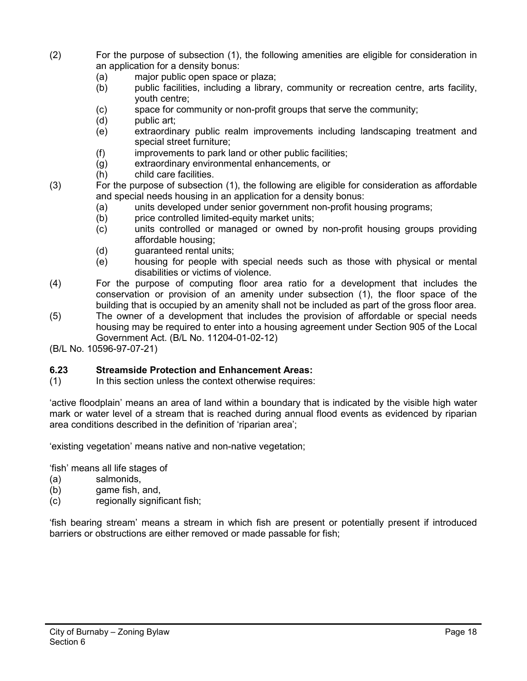- (2) For the purpose of subsection (1), the following amenities are eligible for consideration in an application for a density bonus:
	- (a) major public open space or plaza;
	- (b) public facilities, including a library, community or recreation centre, arts facility, youth centre;
	- (c) space for community or non-profit groups that serve the community;
	- (d) public art;
	- (e) extraordinary public realm improvements including landscaping treatment and special street furniture;
	- (f) improvements to park land or other public facilities;
	- (g) extraordinary environmental enhancements, or
	- (h) child care facilities.
- (3) For the purpose of subsection (1), the following are eligible for consideration as affordable and special needs housing in an application for a density bonus:
	- (a) units developed under senior government non-profit housing programs;
	- (b) price controlled limited-equity market units;
	- (c) units controlled or managed or owned by non-profit housing groups providing affordable housing;
	- (d) guaranteed rental units;
	- (e) housing for people with special needs such as those with physical or mental disabilities or victims of violence.
- (4) For the purpose of computing floor area ratio for a development that includes the conservation or provision of an amenity under subsection (1), the floor space of the building that is occupied by an amenity shall not be included as part of the gross floor area.
- (5) The owner of a development that includes the provision of affordable or special needs housing may be required to enter into a housing agreement under Section 905 of the Local Government Act. (B/L No. 11204-01-02-12)
- (B/L No. 10596-97-07-21)

# **6.23 Streamside Protection and Enhancement Areas:**

(1) In this section unless the context otherwise requires:

'active floodplain' means an area of land within a boundary that is indicated by the visible high water mark or water level of a stream that is reached during annual flood events as evidenced by riparian area conditions described in the definition of 'riparian area';

'existing vegetation' means native and non-native vegetation;

'fish' means all life stages of

- (a) salmonids,
- (b) game fish, and,
- (c) regionally significant fish;

'fish bearing stream' means a stream in which fish are present or potentially present if introduced barriers or obstructions are either removed or made passable for fish;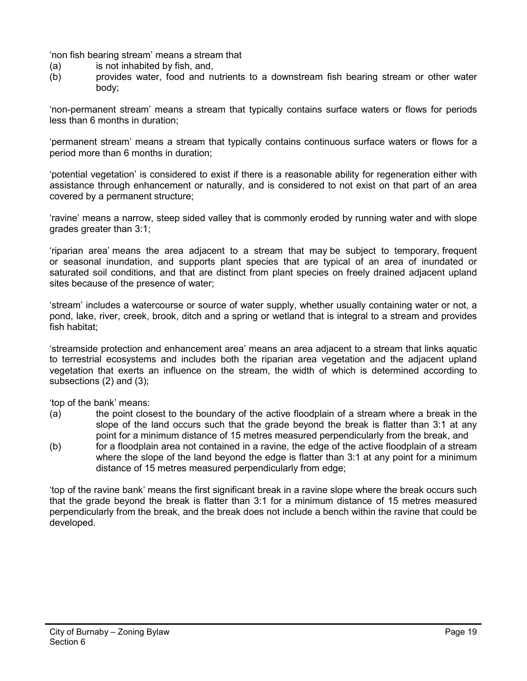'non fish bearing stream' means a stream that

- 
- (a) is not inhabited by fish, and,<br>(b) provides water, food and nu (b) provides water, food and nutrients to a downstream fish bearing stream or other water body;

'non-permanent stream' means a stream that typically contains surface waters or flows for periods less than 6 months in duration;

'permanent stream' means a stream that typically contains continuous surface waters or flows for a period more than 6 months in duration;

'potential vegetation' is considered to exist if there is a reasonable ability for regeneration either with assistance through enhancement or naturally, and is considered to not exist on that part of an area covered by a permanent structure;

'ravine' means a narrow, steep sided valley that is commonly eroded by running water and with slope grades greater than 3:1;

'riparian area' means the area adjacent to a stream that may be subject to temporary, frequent or seasonal inundation, and supports plant species that are typical of an area of inundated or saturated soil conditions, and that are distinct from plant species on freely drained adjacent upland sites because of the presence of water;

'stream' includes a watercourse or source of water supply, whether usually containing water or not, a pond, lake, river, creek, brook, ditch and a spring or wetland that is integral to a stream and provides fish habitat;

'streamside protection and enhancement area' means an area adjacent to a stream that links aquatic to terrestrial ecosystems and includes both the riparian area vegetation and the adjacent upland vegetation that exerts an influence on the stream, the width of which is determined according to subsections (2) and (3);

'top of the bank' means:

- (a) the point closest to the boundary of the active floodplain of a stream where a break in the slope of the land occurs such that the grade beyond the break is flatter than 3:1 at any point for a minimum distance of 15 metres measured perpendicularly from the break, and
- (b) for a floodplain area not contained in a ravine, the edge of the active floodplain of a stream where the slope of the land beyond the edge is flatter than 3:1 at any point for a minimum distance of 15 metres measured perpendicularly from edge;

'top of the ravine bank' means the first significant break in a ravine slope where the break occurs such that the grade beyond the break is flatter than 3:1 for a minimum distance of 15 metres measured perpendicularly from the break, and the break does not include a bench within the ravine that could be developed.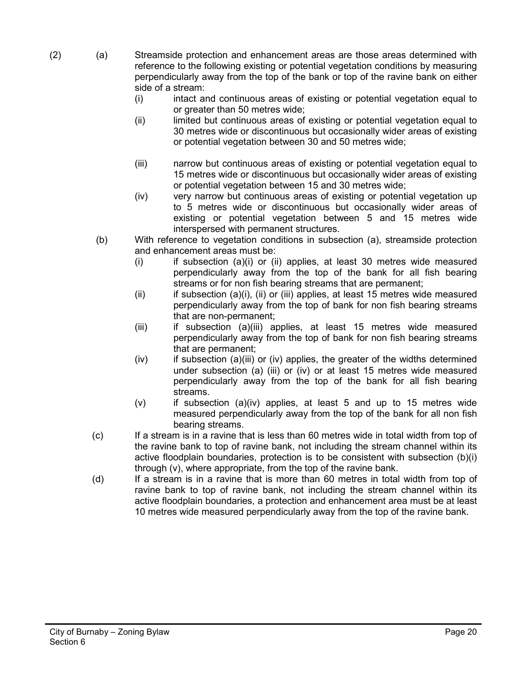- (2) (a) Streamside protection and enhancement areas are those areas determined with reference to the following existing or potential vegetation conditions by measuring perpendicularly away from the top of the bank or top of the ravine bank on either side of a stream:
	- (i) intact and continuous areas of existing or potential vegetation equal to or greater than 50 metres wide;
	- (ii) limited but continuous areas of existing or potential vegetation equal to 30 metres wide or discontinuous but occasionally wider areas of existing or potential vegetation between 30 and 50 metres wide;
	- (iii) narrow but continuous areas of existing or potential vegetation equal to 15 metres wide or discontinuous but occasionally wider areas of existing or potential vegetation between 15 and 30 metres wide;
	- (iv) very narrow but continuous areas of existing or potential vegetation up to 5 metres wide or discontinuous but occasionally wider areas of existing or potential vegetation between 5 and 15 metres wide interspersed with permanent structures.
	- (b) With reference to vegetation conditions in subsection (a), streamside protection and enhancement areas must be:
		- $(i)$  if subsection  $(a)(i)$  or  $(ii)$  applies, at least 30 metres wide measured perpendicularly away from the top of the bank for all fish bearing streams or for non fish bearing streams that are permanent;
		- (ii) if subsection (a)(i), (ii) or (iii) applies, at least 15 metres wide measured perpendicularly away from the top of bank for non fish bearing streams that are non-permanent;
		- (iii) if subsection (a)(iii) applies, at least 15 metres wide measured perpendicularly away from the top of bank for non fish bearing streams that are permanent;
		- $(iv)$  if subsection (a)(iii) or (iv) applies, the greater of the widths determined under subsection (a) (iii) or (iv) or at least 15 metres wide measured perpendicularly away from the top of the bank for all fish bearing streams.
		- $(v)$  if subsection  $(a)(iv)$  applies, at least 5 and up to 15 metres wide measured perpendicularly away from the top of the bank for all non fish bearing streams.
	- (c) If a stream is in a ravine that is less than 60 metres wide in total width from top of the ravine bank to top of ravine bank, not including the stream channel within its active floodplain boundaries, protection is to be consistent with subsection (b)(i) through (v), where appropriate, from the top of the ravine bank.
	- (d) If a stream is in a ravine that is more than 60 metres in total width from top of ravine bank to top of ravine bank, not including the stream channel within its active floodplain boundaries, a protection and enhancement area must be at least 10 metres wide measured perpendicularly away from the top of the ravine bank.

Page 20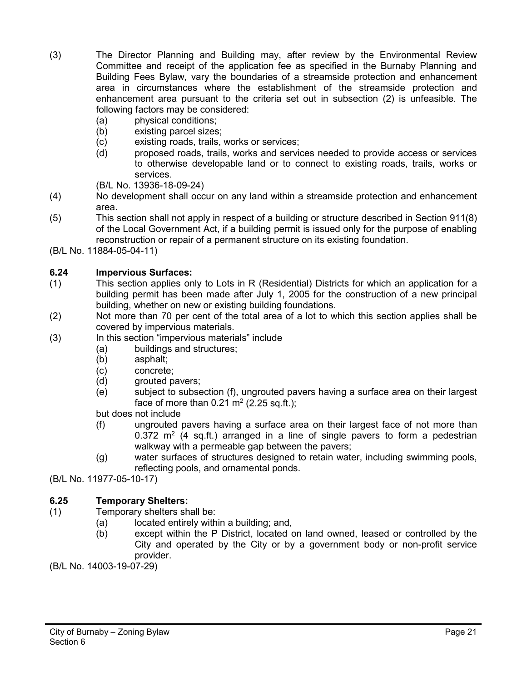- (3) The Director Planning and Building may, after review by the Environmental Review Committee and receipt of the application fee as specified in the Burnaby Planning and Building Fees Bylaw, vary the boundaries of a streamside protection and enhancement area in circumstances where the establishment of the streamside protection and enhancement area pursuant to the criteria set out in subsection (2) is unfeasible. The following factors may be considered:
	-
	- (a) physical conditions;<br>(b) existing parcel sizes existing parcel sizes;
	- (c) existing roads, trails, works or services;
	- (d) proposed roads, trails, works and services needed to provide access or services to otherwise developable land or to connect to existing roads, trails, works or services.
	- (B/L No. 13936-18-09-24)
- (4) No development shall occur on any land within a streamside protection and enhancement area.
- (5) This section shall not apply in respect of a building or structure described in Section 911(8) of the Local Government Act, if a building permit is issued only for the purpose of enabling reconstruction or repair of a permanent structure on its existing foundation.
- (B/L No. 11884-05-04-11)

# **6.24 Impervious Surfaces:**

- (1) This section applies only to Lots in R (Residential) Districts for which an application for a building permit has been made after July 1, 2005 for the construction of a new principal building, whether on new or existing building foundations.
- (2) Not more than 70 per cent of the total area of a lot to which this section applies shall be covered by impervious materials.
- (3) In this section "impervious materials" include
	- (a) buildings and structures;<br>(b) asphalt;
		- asphalt;
		- (c) concrete;
		- (d) grouted pavers;
		- (e) subject to subsection (f), ungrouted pavers having a surface area on their largest face of more than  $0.21 \text{ m}^2$  (2.25 sq.ft.);

but does not include

- (f) ungrouted pavers having a surface area on their largest face of not more than 0.372  $m<sup>2</sup>$  (4 sq.ft.) arranged in a line of single pavers to form a pedestrian walkway with a permeable gap between the pavers;
- (g) water surfaces of structures designed to retain water, including swimming pools, reflecting pools, and ornamental ponds.
- (B/L No. 11977-05-10-17)

# **6.25 Temporary Shelters:**

- (1) Temporary shelters shall be:
	- (a) located entirely within a building; and,
	- (b) except within the P District, located on land owned, leased or controlled by the City and operated by the City or by a government body or non-profit service provider.

(B/L No. 14003-19-07-29)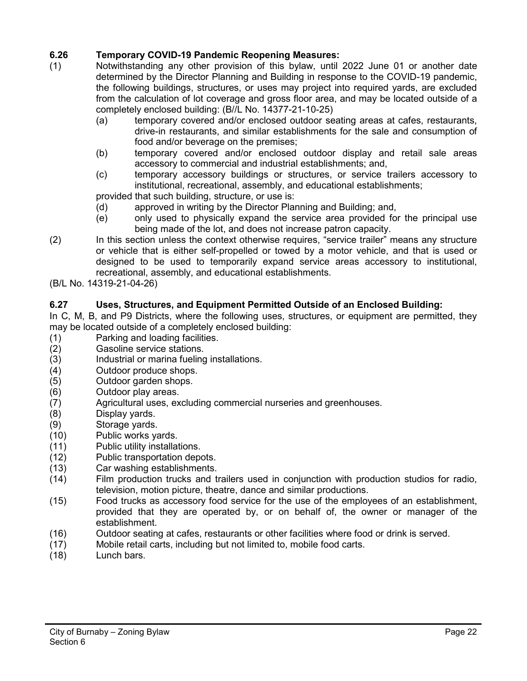- **6.26 Temporary COVID-19 Pandemic Reopening Measures:** Notwithstanding any other provision of this bylaw, until 2022 June 01 or another date determined by the Director Planning and Building in response to the COVID-19 pandemic, the following buildings, structures, or uses may project into required yards, are excluded from the calculation of lot coverage and gross floor area, and may be located outside of a completely enclosed building: (B//L No. 14377-21-10-25)
	- (a) temporary covered and/or enclosed outdoor seating areas at cafes, restaurants, drive-in restaurants, and similar establishments for the sale and consumption of food and/or beverage on the premises;
	- (b) temporary covered and/or enclosed outdoor display and retail sale areas accessory to commercial and industrial establishments; and,
	- (c) temporary accessory buildings or structures, or service trailers accessory to institutional, recreational, assembly, and educational establishments;

provided that such building, structure, or use is:

- (d) approved in writing by the Director Planning and Building; and,
- (e) only used to physically expand the service area provided for the principal use being made of the lot, and does not increase patron capacity.
- (2) In this section unless the context otherwise requires, "service trailer" means any structure or vehicle that is either self-propelled or towed by a motor vehicle, and that is used or designed to be used to temporarily expand service areas accessory to institutional, recreational, assembly, and educational establishments.
- (B/L No. 14319-21-04-26)

# **6.27 Uses, Structures, and Equipment Permitted Outside of an Enclosed Building:**

In C, M, B, and P9 Districts, where the following uses, structures, or equipment are permitted, they may be located outside of a completely enclosed building:

- (1) Parking and loading facilities.
- (2) Gasoline service stations.<br>(3) Industrial or marina fueling
- Industrial or marina fueling installations.
- (4) Outdoor produce shops.
- (5) Outdoor garden shops.
- (6) Outdoor play areas.
- (7) Agricultural uses, excluding commercial nurseries and greenhouses.
- (8) Display yards.
- (9) Storage yards.
- (10) Public works yards.
- (11) Public utility installations.
- (12) Public transportation depots.
- (13) Car washing establishments.
- (14) Film production trucks and trailers used in conjunction with production studios for radio, television, motion picture, theatre, dance and similar productions.
- (15) Food trucks as accessory food service for the use of the employees of an establishment, provided that they are operated by, or on behalf of, the owner or manager of the establishment.
- (16) Outdoor seating at cafes, restaurants or other facilities where food or drink is served.
- (17) Mobile retail carts, including but not limited to, mobile food carts.
- (18) Lunch bars.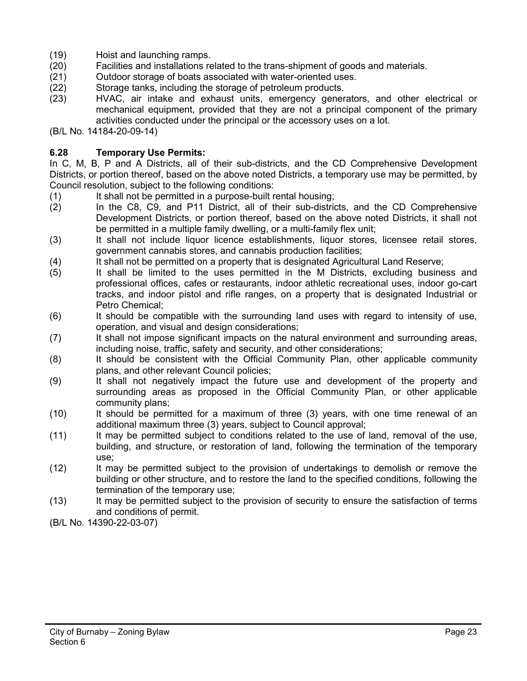- (19) Hoist and launching ramps.
- (20) Facilities and installations related to the trans-shipment of goods and materials.
- (21) Outdoor storage of boats associated with water-oriented uses.
- (22) Storage tanks, including the storage of petroleum products.
- (23) HVAC, air intake and exhaust units, emergency generators, and other electrical or mechanical equipment, provided that they are not a principal component of the primary activities conducted under the principal or the accessory uses on a lot.

(B/L No. 14184-20-09-14)

#### **6.28 Temporary Use Permits:**

In C, M, B, P and A Districts, all of their sub-districts, and the CD Comprehensive Development Districts, or portion thereof, based on the above noted Districts, a temporary use may be permitted, by Council resolution, subject to the following conditions:

- (1) It shall not be permitted in a purpose-built rental housing;
- (2) In the C8, C9, and P11 District, all of their sub-districts, and the CD Comprehensive Development Districts, or portion thereof, based on the above noted Districts, it shall not be permitted in a multiple family dwelling, or a multi-family flex unit;
- (3) It shall not include liquor licence establishments, liquor stores, licensee retail stores, government cannabis stores, and cannabis production facilities;
- (4) It shall not be permitted on a property that is designated Agricultural Land Reserve;
- (5) It shall be limited to the uses permitted in the M Districts, excluding business and professional offices, cafes or restaurants, indoor athletic recreational uses, indoor go-cart tracks, and indoor pistol and rifle ranges, on a property that is designated Industrial or Petro Chemical;
- (6) It should be compatible with the surrounding land uses with regard to intensity of use, operation, and visual and design considerations;
- (7) It shall not impose significant impacts on the natural environment and surrounding areas, including noise, traffic, safety and security, and other considerations;
- (8) It should be consistent with the Official Community Plan, other applicable community plans, and other relevant Council policies;
- (9) It shall not negatively impact the future use and development of the property and surrounding areas as proposed in the Official Community Plan, or other applicable community plans;
- (10) It should be permitted for a maximum of three (3) years, with one time renewal of an additional maximum three (3) years, subject to Council approval;
- (11) It may be permitted subject to conditions related to the use of land, removal of the use, building, and structure, or restoration of land, following the termination of the temporary use;
- (12) It may be permitted subject to the provision of undertakings to demolish or remove the building or other structure, and to restore the land to the specified conditions, following the termination of the temporary use;
- (13) It may be permitted subject to the provision of security to ensure the satisfaction of terms and conditions of permit.
- (B/L No. 14390-22-03-07)